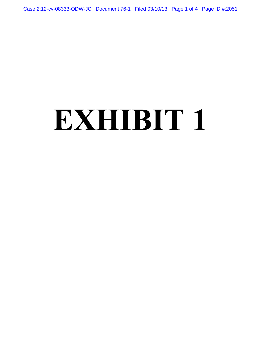Case 2:12-cv-08333-ODW-JC Document 76-1 Filed 03/10/13 Page 1 of 4 Page ID #:2051

# **EXHIBIT 1**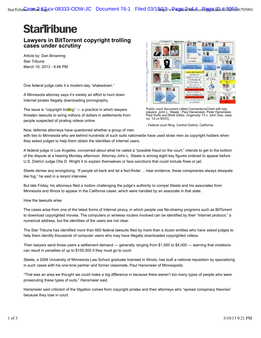# **StarTribune**

## **Lawyers in BitTorrent copyright trolling cases under scrutiny**

Article by: Dan Browning Star Tribune March 10, 2013 - 9:46 PM

One federal judge calls it a modern-day "shakedown.''

A Minnesota attorney says it's merely an effort to hunt down Internet pirates illegally downloading pornography.

The issue is "copyright trolling" — a practice in which lawyers threaten lawsuits to wring millions of dollars in settlements from people suspected of pirating videos online.



Public court document called ConnectionsChart with key players: John L. Steele , Paul Hansmeier, Peter Hansmeier, Paul Duffy and Brett Gibbs. (Ingenuity 13 v. John Doe, case no. 12-cv-8333).

, Federal court filing, Central District, California

Now, defense attorneys have questioned whether a group of men

with ties to Minnesota who are behind hundreds of such suits nationwide have used straw men as copyright holders when they asked judges to help them obtain the identities of Internet users.

A federal judge in Los Angeles, concerned about what he called a "possible fraud on the court," intends to get to the bottom of the dispute at a hearing Monday afternoon. Attorney John L. Steele is among eight key figures ordered to appear before U.S. District Judge Otis D. Wright II to explain themselves or face sanctions that could include fines or jail.

Steele denies any wrongdoing. "If people sit back and let a fact-finder ... hear evidence, these conspiracies always dissipate like fog," he said in a recent interview.

But late Friday, his attorneys filed a motion challenging the judge's authority to compel Steele and his associates from Minnesota and Illinois to appear in the California cases, which were handled by an associate in that state.

How the lawsuits arise

The cases arise from one of the latest forms of Internet piracy, in which people use file-sharing programs such as BitTorrent to download copyrighted movies. The computers or wireless routers involved can be identified by their "Internet protocol," a numerical address, but the identities of the users are not clear.

The Star Tribune has identified more than 660 federal lawsuits filed by more than a dozen entities who have asked judges to help them identify thousands of computer users who may have illegally downloaded copyrighted videos.

Then lawyers send those users a settlement demand — generally ranging from \$1,500 to \$4,000 — warning that violations can result in penalties of up to \$150,000 if they must go to court.

Steele, a 2006 University of Minnesota Law School graduate licensed in Illinois, has built a national reputation by specializing in such cases with his one-time partner and former classmate, Paul Hansmeier of Minneapolis.

"That was an area we thought we could make a big difference in because there weren't too many types of people who were prosecuting these types of suits," Hansmeier said.

Hansmeier said criticism of the litigation comes from copyright pirates and their attorneys who "spread conspiracy theories" because they lose in court.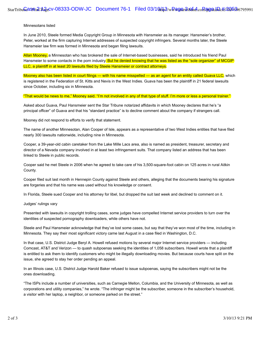### Minnesotans listed

In June 2010, Steele formed Media Copyright Group in Minnesota with Hansmeier as its manager. Hansmeier's brother, Peter, worked at the firm capturing Internet addresses of suspected copyright infringers. Several months later, the Steele Hansmeier law firm was formed in Minnesota and began filing lawsuits.

Allan Mooney, a Minnesotan who has brokered the sale of Internet-based businesses, said he introduced his friend Paul Hansmeier to some contacts in the porn industry. But he denied knowing that he was listed as the "sole organizer" of MCGIP LLC, a plaintiff in at least 20 lawsuits filed by Steele Hansmeier or contract attorneys.

Mooney also has been listed in court filings — with his name misspelled — as an agent for an entity called Guava LLC, which is registered in the Federation of St. Kitts and Nevis in the West Indies. Guava has been the plaintiff in 21 federal lawsuits since October, including six in Minnesota.

"That would be news to me," Mooney said. "I'm not involved in any of that type of stuff. I'm more or less a personal trainer."

Asked about Guava, Paul Hansmeier sent the Star Tribune notarized affidavits in which Mooney declares that he's "a principal officer" of Guava and that his "standard practice" is to decline comment about the company if strangers call.

Mooney did not respond to efforts to verify that statement.

The name of another Minnesotan, Alan Cooper of Isle, appears as a representative of two West Indies entities that have filed nearly 300 lawsuits nationwide, including nine in Minnesota.

Cooper, a 39-year-old cabin caretaker from the Lake Mille Lacs area, also is named as president, treasurer, secretary and director of a Nevada company involved in at least two infringement suits. That company listed an address that has been linked to Steele in public records.

Cooper said he met Steele in 2006 when he agreed to take care of his 3,500-square-foot cabin on 125 acres in rural Aitkin County.

Cooper filed suit last month in Hennepin County against Steele and others, alleging that the documents bearing his signature are forgeries and that his name was used without his knowledge or consent.

In Florida, Steele sued Cooper and his attorney for libel, but dropped the suit last week and declined to comment on it.

#### Judges' rulings vary

Presented with lawsuits in copyright trolling cases, some judges have compelled Internet service providers to turn over the identities of suspected pornography downloaders, while others have not.

Steele and Paul Hansmeier acknowledge that they've lost some cases, but say that they've won most of the time, including in Minnesota. They say their most significant victory came last August in a case filed in Washington, D.C.

In that case, U.S. District Judge Beryl A. Howell refused motions by several major Internet service providers — including Comcast, AT&T and Verizon — to quash subpoenas seeking the identities of 1,058 subscribers. Howell wrote that a plaintiff is entitled to ask them to identify customers who might be illegally downloading movies. But because courts have split on the issue, she agreed to stay her order pending an appeal.

In an Illinois case, U.S. District Judge Harold Baker refused to issue subpoenas, saying the subscribers might not be the ones downloading.

"The ISPs include a number of universities, such as Carnegie Mellon, Columbia, and the University of Minnesota, as well as corporations and utility companies," he wrote. "The infringer might be the subscriber, someone in the subscriber's household, a visitor with her laptop, a neighbor, or someone parked on the street."